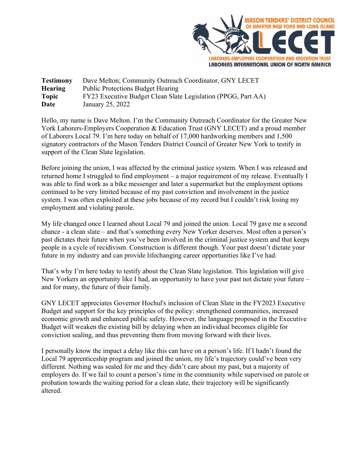

**Testimony** Dave Melton; Community Outreach Coordinator, GNY LECET **Hearing** Public Protections Budget Hearing **Topic** FY23 Executive Budget Clean Slate Legislation (PPGG, Part AA) **Date** January 25, 2022

Hello, my name is Dave Melton. I'm the Community Outreach Coordinator for the Greater New York Laborers-Employers Cooperation & Education Trust (GNY LECET) and a proud member of Laborers Local 79. I'm here today on behalf of 17,000 hardworking members and 1,500 signatory contractors of the Mason Tenders District Council of Greater New York to testify in support of the Clean Slate legislation.

Before joining the union, I was affected by the criminal justice system. When I was released and returned home I struggled to find employment – a major requirement of my release. Eventually I was able to find work as a bike messenger and later a supermarket but the employment options continued to be very limited because of my past conviction and involvement in the justice system. I was often exploited at these jobs because of my record but I couldn't risk losing my employment and violating parole.

My life changed once I learned about Local 79 and joined the union. Local 79 gave me a second chance - a clean slate – and that's something every New Yorker deserves. Most often a person's past dictates their future when you've been involved in the criminal justice system and that keeps people in a cycle of recidivism. Construction is different though. Your past doesn't dictate your future in my industry and can provide lifechanging career opportunities like I've had.

That's why I'm here today to testify about the Clean Slate legislation. This legislation will give New Yorkers an opportunity like I had, an opportunity to have your past not dictate your future – and for many, the future of their family.

GNY LECET appreciates Governor Hochul's inclusion of Clean Slate in the FY2023 Executive Budget and support for the key principles of the policy: strengthened communities, increased economic growth and enhanced public safety. However, the language proposed in the Executive Budget will weaken the existing bill by delaying when an individual becomes eligible for conviction sealing, and thus preventing them from moving forward with their lives.

I personally know the impact a delay like this can have on a person's life. If I hadn't found the Local 79 apprenticeship program and joined the union, my life's trajectory could've been very different. Nothing was sealed for me and they didn't care about my past, but a majority of employers do. If we fail to count a person's time in the community while supervised on parole or probation towards the waiting period for a clean slate, their trajectory will be significantly altered.